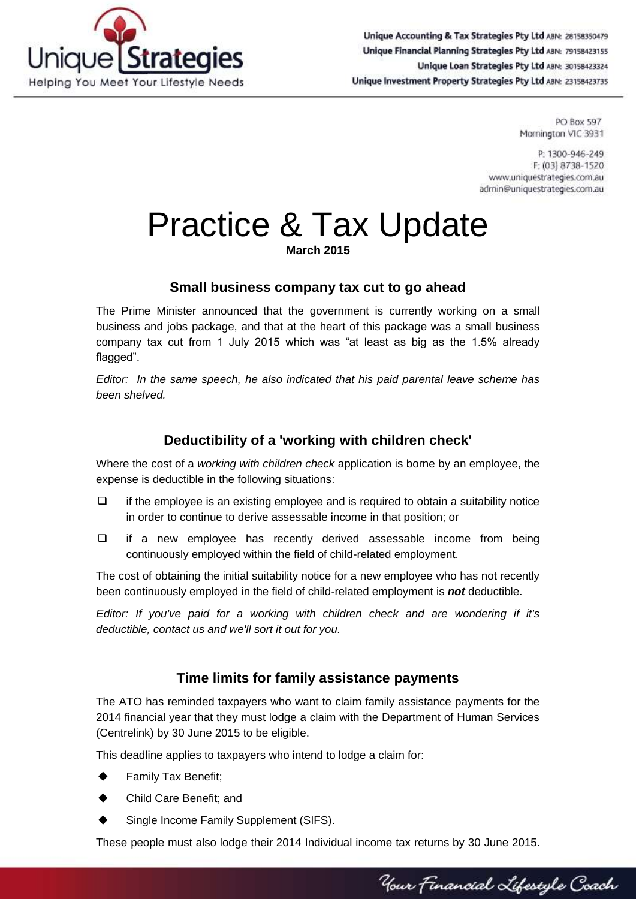

Unique Accounting & Tax Strategies Pty Ltd ABN: 28158350479 Unique Financial Planning Strategies Pty Ltd ABN: 79158423155 Unique Loan Strategies Pty Ltd ABN: 30158423324 Unique Investment Property Strategies Pty Ltd ABN: 23158423735

> **PO Box 597** Mornington VIC 3931

P: 1300-946-249 F: (03) 8738-1520 www.uniquestrategies.com.au admin@uniquestrategies.com.au

# Practice & Tax Update

**March 2015**

## **Small business company tax cut to go ahead**

The Prime Minister announced that the government is currently working on a small business and jobs package, and that at the heart of this package was a small business company tax cut from 1 July 2015 which was "at least as big as the 1.5% already flagged".

*Editor: In the same speech, he also indicated that his paid parental leave scheme has been shelved.*

# **Deductibility of a 'working with children check'**

Where the cost of a *working with children check* application is borne by an employee, the expense is deductible in the following situations:

- $\Box$  if the employee is an existing employee and is required to obtain a suitability notice in order to continue to derive assessable income in that position; or
- $\Box$  if a new employee has recently derived assessable income from being continuously employed within the field of child-related employment.

The cost of obtaining the initial suitability notice for a new employee who has not recently been continuously employed in the field of child-related employment is *not* deductible.

*Editor: If you've paid for a working with children check and are wondering if it's deductible, contact us and we'll sort it out for you.*

# **Time limits for family assistance payments**

The ATO has reminded taxpayers who want to claim family assistance payments for the 2014 financial year that they must lodge a claim with the Department of Human Services (Centrelink) by 30 June 2015 to be eligible.

This deadline applies to taxpayers who intend to lodge a claim for:

- Family Tax Benefit;
- Child Care Benefit; and
- Single Income Family Supplement (SIFS).

These people must also lodge their 2014 Individual income tax returns by 30 June 2015.

Your Financial Lifestyle Coach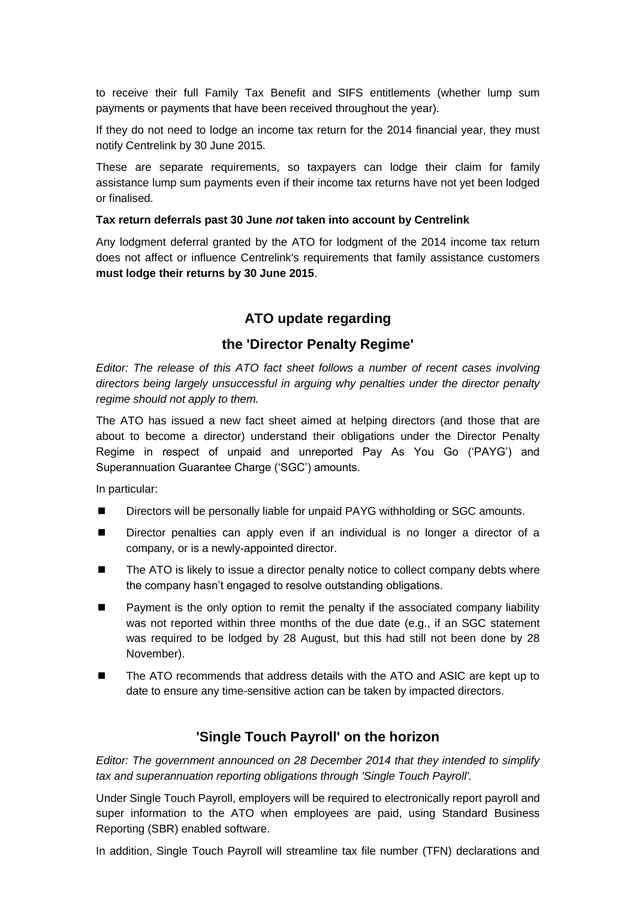to receive their full Family Tax Benefit and SIFS entitlements (whether lump sum payments or payments that have been received throughout the year).

If they do not need to lodge an income tax return for the 2014 financial year, they must notify Centrelink by 30 June 2015.

These are separate requirements, so taxpayers can lodge their claim for family assistance lump sum payments even if their income tax returns have not yet been lodged or finalised.

#### **Tax return deferrals past 30 June** *not* **taken into account by Centrelink**

Any lodgment deferral granted by the ATO for lodgment of the 2014 income tax return does not affect or influence Centrelink's requirements that family assistance customers **must lodge their returns by 30 June 2015**.

## **ATO update regarding**

## **the 'Director Penalty Regime'**

*Editor: The release of this ATO fact sheet follows a number of recent cases involving directors being largely unsuccessful in arguing why penalties under the director penalty regime should not apply to them.*

The ATO has issued a new fact sheet aimed at helping directors (and those that are about to become a director) understand their obligations under the Director Penalty Regime in respect of unpaid and unreported Pay As You Go ('PAYG') and Superannuation Guarantee Charge ('SGC') amounts.

In particular:

- Directors will be personally liable for unpaid PAYG withholding or SGC amounts.
- Director penalties can apply even if an individual is no longer a director of a company, or is a newly-appointed director.
- The ATO is likely to issue a director penalty notice to collect company debts where the company hasn't engaged to resolve outstanding obligations.
- Payment is the only option to remit the penalty if the associated company liability was not reported within three months of the due date (e.g., if an SGC statement was required to be lodged by 28 August, but this had still not been done by 28 November).
- The ATO recommends that address details with the ATO and ASIC are kept up to date to ensure any time-sensitive action can be taken by impacted directors.

### **'Single Touch Payroll' on the horizon**

*Editor: The government announced on 28 December 2014 that they intended to simplify tax and superannuation reporting obligations through 'Single Touch Payroll'.*

Under Single Touch Payroll, employers will be required to electronically report payroll and super information to the ATO when employees are paid, using Standard Business Reporting (SBR) enabled software.

In addition, Single Touch Payroll will streamline tax file number (TFN) declarations and